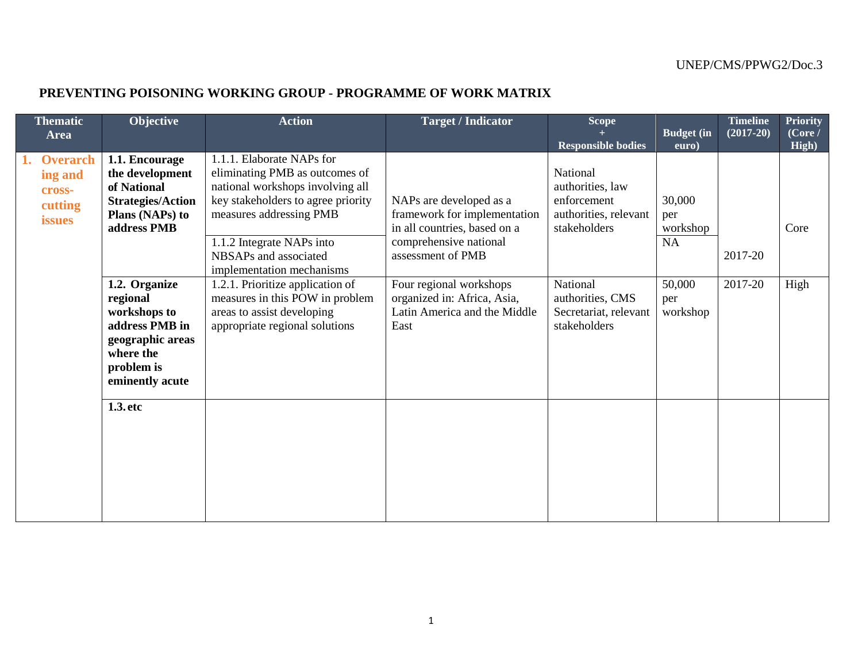## **PREVENTING POISONING WORKING GROUP - PROGRAMME OF WORK MATRIX**

| <b>Thematic</b><br><b>Area</b>         | Objective                                                                                                                     | <b>Action</b>                                                                                                                                                    | <b>Target / Indicator</b>                                                                                         | Scope                                                                                | <b>Budget</b> (in               | <b>Timeline</b><br>$(2017 - 20)$ | <b>Priority</b><br>(Core / |
|----------------------------------------|-------------------------------------------------------------------------------------------------------------------------------|------------------------------------------------------------------------------------------------------------------------------------------------------------------|-------------------------------------------------------------------------------------------------------------------|--------------------------------------------------------------------------------------|---------------------------------|----------------------------------|----------------------------|
| <b>Overarch</b>                        | 1.1. Encourage                                                                                                                | 1.1.1. Elaborate NAPs for                                                                                                                                        |                                                                                                                   | <b>Responsible bodies</b>                                                            | euro)                           |                                  | High)                      |
| ing and<br>cross-<br>cutting<br>issues | the development<br>of National<br><b>Strategies/Action</b><br>Plans (NAPs) to<br>address PMB                                  | eliminating PMB as outcomes of<br>national workshops involving all<br>key stakeholders to agree priority<br>measures addressing PMB<br>1.1.2 Integrate NAPs into | NAPs are developed as a<br>framework for implementation<br>in all countries, based on a<br>comprehensive national | National<br>authorities, law<br>enforcement<br>authorities, relevant<br>stakeholders | 30,000<br>per<br>workshop<br>NA |                                  | Core                       |
|                                        |                                                                                                                               | NBSAPs and associated<br>implementation mechanisms                                                                                                               | assessment of PMB                                                                                                 |                                                                                      |                                 | 2017-20                          |                            |
|                                        | 1.2. Organize<br>regional<br>workshops to<br>address PMB in<br>geographic areas<br>where the<br>problem is<br>eminently acute | 1.2.1. Prioritize application of<br>measures in this POW in problem<br>areas to assist developing<br>appropriate regional solutions                              | Four regional workshops<br>organized in: Africa, Asia,<br>Latin America and the Middle<br>East                    | National<br>authorities, CMS<br>Secretariat, relevant<br>stakeholders                | 50,000<br>per<br>workshop       | 2017-20                          | High                       |
|                                        | 1.3. etc                                                                                                                      |                                                                                                                                                                  |                                                                                                                   |                                                                                      |                                 |                                  |                            |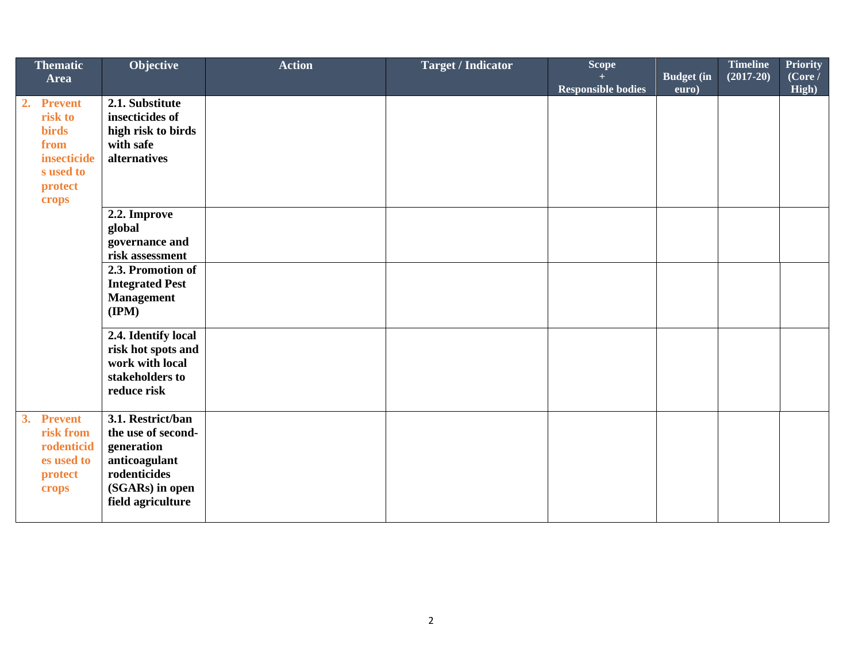| <b>Thematic</b><br>Area                                                                       | Objective                                                                                                                      | <b>Action</b> | <b>Target / Indicator</b> | Scope<br><b>Responsible bodies</b> | <b>Budget</b> (in<br>euro) | <b>Timeline</b><br>$(2017 - 20)$ | <b>Priority</b><br>(Core /<br>High) |
|-----------------------------------------------------------------------------------------------|--------------------------------------------------------------------------------------------------------------------------------|---------------|---------------------------|------------------------------------|----------------------------|----------------------------------|-------------------------------------|
| 2. Prevent<br>risk to<br><b>birds</b><br>from<br>insecticide<br>s used to<br>protect<br>crops | 2.1. Substitute<br>insecticides of<br>high risk to birds<br>with safe<br>alternatives                                          |               |                           |                                    |                            |                                  |                                     |
|                                                                                               | 2.2. Improve<br>global<br>governance and<br>risk assessment                                                                    |               |                           |                                    |                            |                                  |                                     |
|                                                                                               | 2.3. Promotion of<br><b>Integrated Pest</b><br><b>Management</b><br>$(\mathbf{IPM})$                                           |               |                           |                                    |                            |                                  |                                     |
|                                                                                               | 2.4. Identify local<br>risk hot spots and<br>work with local<br>stakeholders to<br>reduce risk                                 |               |                           |                                    |                            |                                  |                                     |
| 3.<br><b>Prevent</b><br>risk from<br>rodenticid<br>es used to<br>protect<br>crops             | 3.1. Restrict/ban<br>the use of second-<br>generation<br>anticoagulant<br>rodenticides<br>(SGARs) in open<br>field agriculture |               |                           |                                    |                            |                                  |                                     |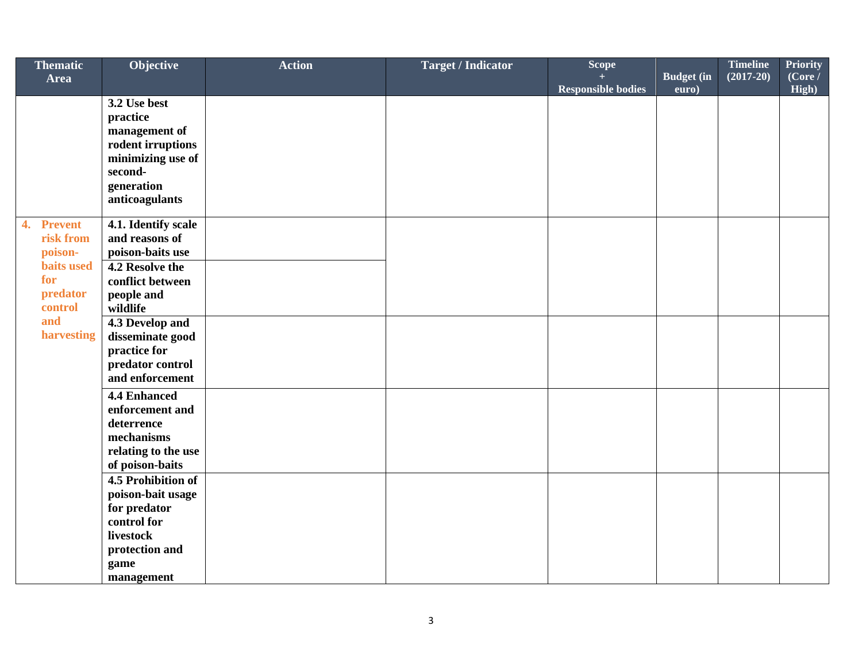| <b>Thematic</b>                    | Objective                              | <b>Action</b> | <b>Target / Indicator</b> | Scope                     |                   | <b>Timeline</b> | <b>Priority</b> |
|------------------------------------|----------------------------------------|---------------|---------------------------|---------------------------|-------------------|-----------------|-----------------|
| <b>Area</b>                        |                                        |               |                           |                           | <b>Budget</b> (in | $(2017 - 20)$   | (Core l)        |
|                                    |                                        |               |                           | <b>Responsible bodies</b> | euro)             |                 | High)           |
|                                    | 3.2 Use best                           |               |                           |                           |                   |                 |                 |
|                                    | practice                               |               |                           |                           |                   |                 |                 |
|                                    | management of<br>rodent irruptions     |               |                           |                           |                   |                 |                 |
|                                    | minimizing use of                      |               |                           |                           |                   |                 |                 |
|                                    | second-                                |               |                           |                           |                   |                 |                 |
|                                    | generation                             |               |                           |                           |                   |                 |                 |
|                                    | anticoagulants                         |               |                           |                           |                   |                 |                 |
|                                    |                                        |               |                           |                           |                   |                 |                 |
| $\overline{4}$ .<br><b>Prevent</b> | 4.1. Identify scale                    |               |                           |                           |                   |                 |                 |
| risk from                          | and reasons of                         |               |                           |                           |                   |                 |                 |
| poison-                            | poison-baits use                       |               |                           |                           |                   |                 |                 |
| <b>baits</b> used                  | 4.2 Resolve the                        |               |                           |                           |                   |                 |                 |
| for                                | conflict between                       |               |                           |                           |                   |                 |                 |
| predator                           | people and                             |               |                           |                           |                   |                 |                 |
| control<br>and                     | wildlife                               |               |                           |                           |                   |                 |                 |
| harvesting                         | 4.3 Develop and                        |               |                           |                           |                   |                 |                 |
|                                    | disseminate good<br>practice for       |               |                           |                           |                   |                 |                 |
|                                    | predator control                       |               |                           |                           |                   |                 |                 |
|                                    | and enforcement                        |               |                           |                           |                   |                 |                 |
|                                    |                                        |               |                           |                           |                   |                 |                 |
|                                    | <b>4.4 Enhanced</b><br>enforcement and |               |                           |                           |                   |                 |                 |
|                                    | deterrence                             |               |                           |                           |                   |                 |                 |
|                                    | mechanisms                             |               |                           |                           |                   |                 |                 |
|                                    | relating to the use                    |               |                           |                           |                   |                 |                 |
|                                    | of poison-baits                        |               |                           |                           |                   |                 |                 |
|                                    | 4.5 Prohibition of                     |               |                           |                           |                   |                 |                 |
|                                    | poison-bait usage                      |               |                           |                           |                   |                 |                 |
|                                    | for predator                           |               |                           |                           |                   |                 |                 |
|                                    | control for                            |               |                           |                           |                   |                 |                 |
|                                    | livestock                              |               |                           |                           |                   |                 |                 |
|                                    | protection and                         |               |                           |                           |                   |                 |                 |
|                                    | game                                   |               |                           |                           |                   |                 |                 |
|                                    | management                             |               |                           |                           |                   |                 |                 |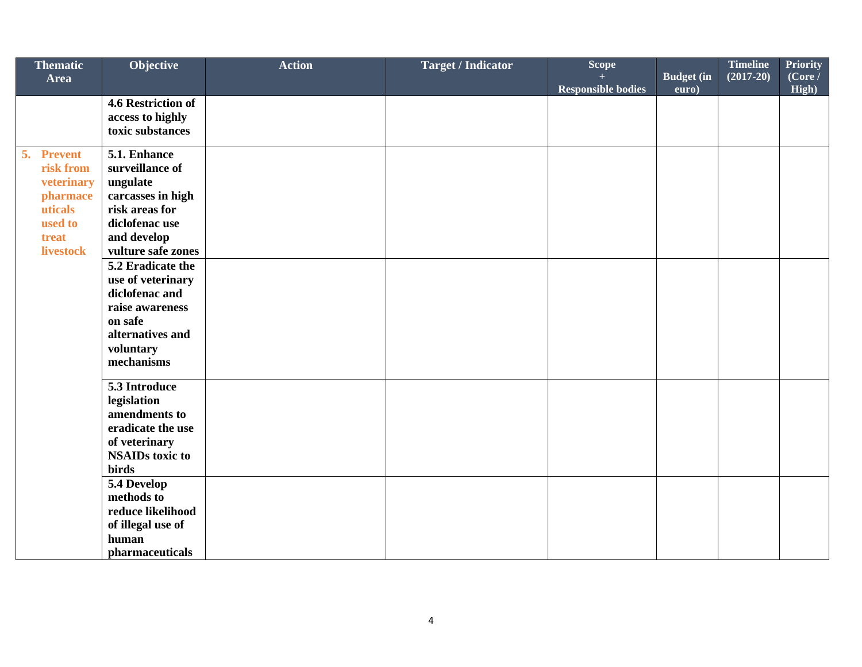| <b>Thematic</b>      | Objective                           | <b>Action</b> | <b>Target / Indicator</b> | <b>Scope</b>              |                   | <b>Timeline</b> | <b>Priority</b> |
|----------------------|-------------------------------------|---------------|---------------------------|---------------------------|-------------------|-----------------|-----------------|
| Area                 |                                     |               |                           |                           | <b>Budget</b> (in | $(2017-20)$     | (Core /         |
|                      | 4.6 Restriction of                  |               |                           | <b>Responsible bodies</b> | euro)             |                 | High)           |
|                      | access to highly                    |               |                           |                           |                   |                 |                 |
|                      | toxic substances                    |               |                           |                           |                   |                 |                 |
|                      |                                     |               |                           |                           |                   |                 |                 |
| 5.<br><b>Prevent</b> | 5.1. Enhance                        |               |                           |                           |                   |                 |                 |
| risk from            | surveillance of                     |               |                           |                           |                   |                 |                 |
| veterinary           | ungulate                            |               |                           |                           |                   |                 |                 |
| pharmace<br>uticals  | carcasses in high<br>risk areas for |               |                           |                           |                   |                 |                 |
| used to              | diclofenac use                      |               |                           |                           |                   |                 |                 |
| treat                | and develop                         |               |                           |                           |                   |                 |                 |
| <b>livestock</b>     | vulture safe zones                  |               |                           |                           |                   |                 |                 |
|                      | 5.2 Eradicate the                   |               |                           |                           |                   |                 |                 |
|                      | use of veterinary                   |               |                           |                           |                   |                 |                 |
|                      | diclofenac and                      |               |                           |                           |                   |                 |                 |
|                      | raise awareness                     |               |                           |                           |                   |                 |                 |
|                      | on safe                             |               |                           |                           |                   |                 |                 |
|                      | alternatives and                    |               |                           |                           |                   |                 |                 |
|                      | voluntary                           |               |                           |                           |                   |                 |                 |
|                      | mechanisms                          |               |                           |                           |                   |                 |                 |
|                      | 5.3 Introduce                       |               |                           |                           |                   |                 |                 |
|                      | legislation                         |               |                           |                           |                   |                 |                 |
|                      | amendments to                       |               |                           |                           |                   |                 |                 |
|                      | eradicate the use                   |               |                           |                           |                   |                 |                 |
|                      | of veterinary                       |               |                           |                           |                   |                 |                 |
|                      | <b>NSAIDs toxic to</b>              |               |                           |                           |                   |                 |                 |
|                      | <b>birds</b>                        |               |                           |                           |                   |                 |                 |
|                      | 5.4 Develop<br>methods to           |               |                           |                           |                   |                 |                 |
|                      | reduce likelihood                   |               |                           |                           |                   |                 |                 |
|                      | of illegal use of                   |               |                           |                           |                   |                 |                 |
|                      | human                               |               |                           |                           |                   |                 |                 |
|                      | pharmaceuticals                     |               |                           |                           |                   |                 |                 |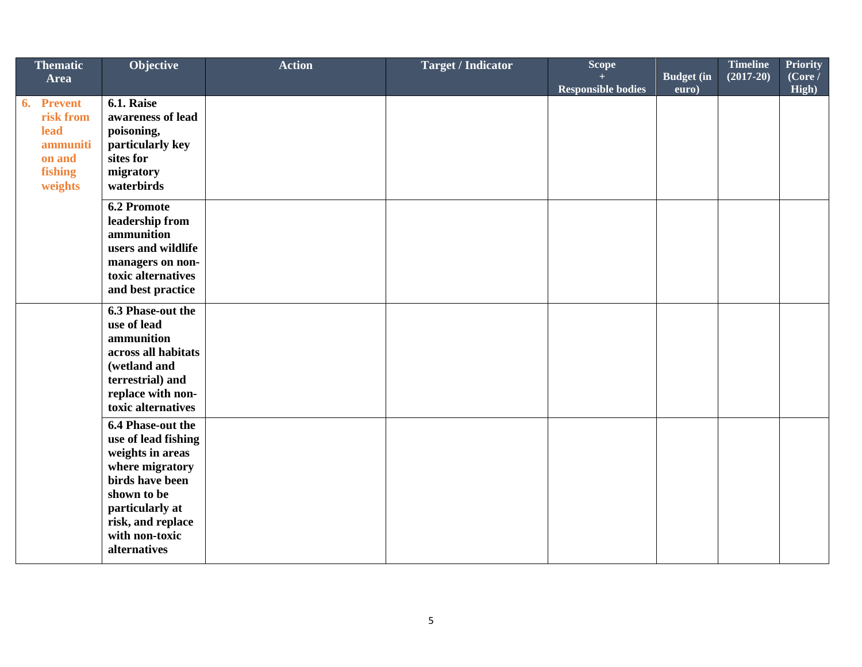| <b>Thematic</b><br><b>Area</b>                                                        | Objective                                                                                                                                                                                   | <b>Action</b> | <b>Target / Indicator</b> | Scope<br><b>Responsible bodies</b> | <b>Budget</b> (in<br>euro) | <b>Timeline</b><br>$(2017-20)$ | <b>Priority</b><br>(Core /<br>High) |
|---------------------------------------------------------------------------------------|---------------------------------------------------------------------------------------------------------------------------------------------------------------------------------------------|---------------|---------------------------|------------------------------------|----------------------------|--------------------------------|-------------------------------------|
| <b>Prevent</b><br>6.<br>risk from<br>lead<br>ammuniti<br>on and<br>fishing<br>weights | 6.1. Raise<br>awareness of lead<br>poisoning,<br>particularly key<br>sites for<br>migratory<br>waterbirds                                                                                   |               |                           |                                    |                            |                                |                                     |
|                                                                                       | <b>6.2 Promote</b><br>leadership from<br>ammunition<br>users and wildlife<br>managers on non-<br>toxic alternatives<br>and best practice                                                    |               |                           |                                    |                            |                                |                                     |
|                                                                                       | 6.3 Phase-out the<br>use of lead<br>ammunition<br>across all habitats<br>(wetland and<br>terrestrial) and<br>replace with non-<br>toxic alternatives                                        |               |                           |                                    |                            |                                |                                     |
|                                                                                       | 6.4 Phase-out the<br>use of lead fishing<br>weights in areas<br>where migratory<br>birds have been<br>shown to be<br>particularly at<br>risk, and replace<br>with non-toxic<br>alternatives |               |                           |                                    |                            |                                |                                     |